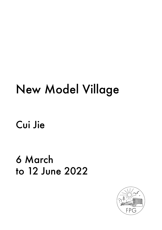# New Model Village

Cui Jie

## 6 March to 12 June 2022

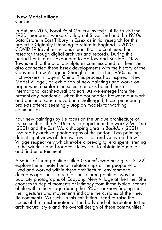#### 'New Model Village' Cui Jie

In Autumn 2019, Focal Point Gallery invited Cui Jie to visit the 1920s modernist workers' village at Silver End and the 1930s Bata Estate in East Tilbury in Essex as initial research for this project. Originally intending to return to England in 2020, COVID-19 travel restrictions meant that Jie continued her research through digital archives and records. During this period her interests expanded to Harlow and Basildon New Towns and to the public sculptures commissioned for them. Jie also connected these Essex developments with the history of the Caoyang New Village in Shanghai, built in the 1950s as the first workers' village in China. This process has inspired 'New Model Village', an exhibition of new paintings and works on paper which explore the social contexts behind these international architectural projects. As we emerge from the present-day pandemic, when the boundaries between our work and personal space have been challenged, these pioneering projects offered seemingly utopian models for working communities.

Four new paintings by Jie focus on the unique architecture of Essex, such as the Art Deco villa depicted in the work *Silver End* inspired by archival photographs of the period. Two paintings depict night views of Harlow Town Hall and Caoyang New Village respectively which evoke a pre-digital era spent listening to the wireless and broadcast television to obtain information and find entertainment.

A series of three paintings titled *Ground Invading Figure* (2022) explore the intimate human relationships of the people who lived and worked within these architectural environments decades ago. Jie's source for these three paintings was the publicity photographs of Caoyang New Village at the time. She chooses to depict moments of intimacy from these typical scenes of life within the village during the 1950s, acknowledging that their gestures and movements indicate the customs of the time. Jie comments: 'As such, in this exhibition I tend to raise the issues of the transformation of the body and of its relation to the architectural style and the overall desian of these communities.'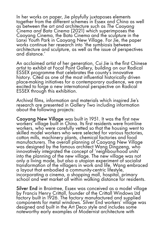In her works on paper, Jie playfully juxtaposes elements together from the different schemes in Essex and China as well as between the art and architecture such as *The Caoyang Cinema and Bata Cinema* (2021) which superimposes the Caoyang Cinema, the Bata Cinema and the sculpture in the Lanxi Youth Park in Caoyang New Village. For Jie, the paper works continue her research into 'the symbiosis between architecture and sculpture, as well as the issue of perspectives and distance.'

An acclaimed artist of her generation, Cui Jie is the first Chinese artist to exhibit at Focal Point Gallery, building on our Radical ESSEX programme that celebrates the county's innovative history. Cited as one of the most influential historically driven place-making initiatives for a contemporary audience, we are excited to forge a new international perspective on Radical ESSEX through this exhibition.

Archival films, information and materials which inspired Jie's research are presented in Gallery Two including information about the following projects:

Caoyang New Village was built in 1951. It was the first new workers' village built in China. Its first residents were front-line workers, who were carefully vetted so that the housing went to skilled model workers who were selected for various factories, cotton mills, machinery plants, chemical factories and food manufacturers. The overall planning of Caoyang New Village was designed by the famous architect Wang Dingzeng, who innovatively integrated the concept of 'neighbourhood units' into the planning of the new village. The new village was not only a living mode, but also a utopian experiment of socialist transformation of the villagers in work and life. Wang embraced a layout that embodied a community-centric lifestyle, incorporating a cinema, a shopping mall, hospital, primary school and wet market all within walking distance for residents.

Silver End in Braintree, Essex was conceived as a model village by Francis Henry Crittall, founder of the Crittall Windows Ltd factory built in 1926. The factory manufactured and supplied designed and built in the Art Deco style and includes some noteworthy early examples of Modernist architecture with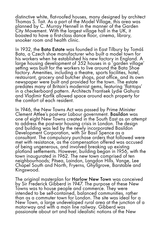distinctive white, flat-roofed houses, many designed by architect Thomas S. Tait. As a part of the Model Village, this area was planned by C. Murray Hennell in the manner of the Garden City Movement. With the largest village hall in the UK, it boasted to have a first-class dance floor, cinema, library, snooker room and health clinic.

In 1932, the Bata Estate was founded in East Tilbury by Tomáš Bata, a Czech shoe manufacturer who built a model town for his workers when he established his new factory in England. A large housing development of 352 houses in a 'garden village' setting was built for the workers to live around the Bata Shoe factory. Amenities, including a theatre, sports facilities, hotel, restaurant, grocery and butcher shops, post office, and its own newspaper were built and provided for the town. The estate predates many of Britain's modernist gems, featuring 'flat-tops' in a checkerboard pattern. Architects Frantisek Lydie Gahura and Vladimir Karfik allowed space around each property for the comfort of each resident.

In 1946, the New Towns Act was passed by Prime Minister Clement Attlee's post-war Labour government. Basildon was one of eight New Towns created in the South East as an attempt to address the post-war housing crisis in London. The design and building was led by the newly incorporated Basildon Development Corporation, with Sir Basil Spence as a consultant. The compulsory purchase orders that followed were met with resistance, as the compensation offered was accused of being ungenerous, and involved breaking up existing plotland settlements. However, building began in 1956, with the town inaugurated in 1962. The new town comprised of ten neighbourhoods; Pitsea, Laindon, Langdon Hills, Vange, Lee Chapel South and North, Fryerns, Ghyllgrove, Barstable and Kingswood.

The original masterplan for Harlow New Town was conceived by Sir Frederick Gibberd in 1947. The purpose of these New Towns was to house people and commerce. They were intended to be self-contained, balanced communities, rather than as a commuter town for London. The site was ideal for a New Town, a large undeveloped rural area at the junction of a motorway and with a main line railway. Gibberd was passionate about art and had idealistic notions of the New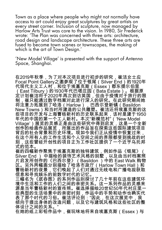Town as a place where people who might not normally have access to art could enjoy great sculptures by great artists on every street corner. Inclusion of sculpture, now managed by Harlow Arts Trust was core to the vision. In 1980, Sir Frederick wrote: 'The Plan was concerned with three arts: architecture, road design and landscape architecture. These three arts are fused to become town scenes or townscapes, the making of which is the art of Town Design.'

'New Model Village' is presented with the support of Antenna Space, Shanghai.

在2019年秋季,为了对本次项目进行初步的研究,崔洁女士应 Focal Point Gallery之邀参观了位于银尾(Silver End)的1920年 代现代主义工人村,和位于埃塞克斯(Essex)郡东提尔伯里 (East Tilbury)的1930年代巴塔庄园(Bata Estate)。根据原 定计划崔洁将于2020年再次到访英国,但由于疫情对于旅行的限 制,崔只能通过数字档案对此进行深入的研究。在此研究期间她 将注意力拓展到了哈洛(Harlow),巴西尔登新镇(Basildon New Towns)和当时所建造的公共雕塑。崔洁还将埃塞克斯的这 些项目的开发与上海曹杨新村的历史联系起来,该村是建于1950 年代的中国的第一个工人新村。本次"新模范村"('New Model Village')展览的灵感正是由这些研究中得到启发,这是一个全新 创作的绘画作品展览,所展出的作品旨在探索这些国际建筑项目 背后的社会背景和历史环境。现如今我们正从疫情中恢复过来 在这个所有人的工作生活和个人空间之间的界限都受到挑战的时 刻,这些曾经开创性的项目正为工作社区提供了一个近乎乌托邦 式的范本。

崔的四幅新作聚焦于埃塞克斯的独特建筑,例如作品《银尾》 Silver End ) 中描绘的装饰艺术风格的别墅,以及由当时档案照 片启发所创作的《巴西尔登》(Basildon )中的 East Walk 购物 区。另外两幅画分别描绘了哈洛市政厅(Harlow Town Hall)和 曹杨新村的夜景,它们唤起了人们对通过无线电和广播电视获取 信息和寻找娱乐的前数字时代的记忆。

三幅名为《底吞图》的系列作品则探讨了几十年前在这些建筑环 境中生活和工作的人们之间的亲密关系。这一系列作品的灵感来 源是当年曹杨新村的宣传照。崔选择描绘20世纪50年代村庄里一 些典型的生活场景中的亲密时刻,作品中的手势和动作也确实代 表了那个时代的习俗。崔洁评论到:"因此,在这次展览中,我 倾向于提出身体的改造问题,以及它与建筑风格和这些社区的整 体设计之间的关系。"

在她的纸上彩铅作品中,崔玩味地将来自埃塞克斯(Essex)与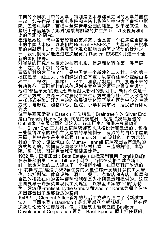中国的不同项目中的元素,特别是艺术与建筑之间的元素并置在 一起。如在作品《曹杨电影院和巴塔电影院》中包含了曹杨电影 院、巴塔电影院,曹杨村兰溪青年公园的雕塑。对于崔来说, <sup>33</sup>x 些纸上作品延续了她对"建筑与雕塑的共生关系,以及视角和距 离的问题"的研究。

崔洁是她这一代中备受赞誉的艺术家,也是第一个在焦点画廊展 出的中国艺术家;以我们的Radical ESSEX项目为基础,庆祝本 郡的创新历史。作为最具现代观众影响力的历史驱动的计划之 一,我们很高兴能通过这次展览为 Radical ESSEX 打造一个全 新的国际视野。

对崔洁的研究产生启发的档案电影、信息和材料在第二展厅展 出,包括以下项目的信息:

曹杨新村始建于1951年,是中国第一个新建的工人村。它的第一 批居民是一线工人,他们经过仔细审查,以便将住房分配给由各<br>种工厂 棉纺厂、机械厂、化工厂和食品制造厂中所挑选出来的 种工厂,棉纺厂、机械厂、化工厂和食品制造厂中所挑选出来的 劳动模范。曹阳新村的总体规划由著名建筑师汪定曾先生设计, 他将"邻里单元"的概念创新地融入新村的规划中。新村不仅是一 种生活方式,更是一种对居民生产生活方式进行社会主义改造的 乌托邦式实验。汪先生的的布局设计体现了以社区为中心的生活 方式,电影院、购物中心、医院、小学和菜市场,居民步行即可 到达。

位于埃塞克斯郡(Essex)布伦特里(Braintree)的 Silver End 是由Francis Henry Crittall构想的模范村,他是1926年建造的 Crittall窗户有限公司的创始人。该工厂生产和供应金属窗组 件。Silver End 工人村是按照装饰艺术风格设计和建造的,包括 一些值得注意的现代主义建筑的早期例子,有独特的白色平屋顶 房屋,其中许多是由建筑师 Thomas S. Tait 设计的。作为示范 村的一部分,该区域由 C. Murray Hennell 按照花园城市运动的 方式规划的。它拥有英国最大的乡村礼堂,一流的舞池、电影 院、图书馆、斯诺克台球室和健康诊所。

1932 年,巴塔庄园(Bata Estate)由捷克制鞋商 Tomáš Baťa 在东提尔伯里(East Tilbury)创立,当他在英格兰建立新工厂 时,他也为他的工人建立了一个模范小镇。在巴塔鞋厂附近的一 个"花园村庄"建造了352套住房的大型住房开发项目以供工人居 住。包括剧院、体育设施、酒店、餐厅、杂货店和肉店、邮局和 自己的报纸在内的各种便利设施都是为小镇建造和提供的。这座 庄园要早于许多英国现代主义瑰宝,以棋盘图案的"平顶"为特 色。建筑师Frantisek Lydie Gahura和Vladimir Karfik为每个住宅 周围都留出了足够舒适的空间。

1946 年,Clement Attlee首相的战后工党政府通过了《新城镇 法》。巴西尔登(Basildon)是东南部八个新城镇之一,旨在解 决战后伦敦的住房危机。设计和建筑由新成立的 Basildon Development Corporation 领导, Basil Spence 爵士担任顾问。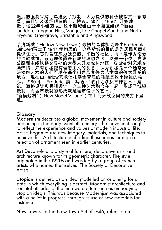随后的强制采购订单遭到了抵制,因为提供的补偿被指责不够慷 慨,而且涉及破坏现有的土地协议。然而,1956年开始建 造,1962年小镇落成。这个新城镇由十个街区组成;Pitsea, landdon, Langdon Hills, Vange, Lee Chapel South and North, Fryerns, Ghyllgrove, Barstable and Kingswood。

哈洛新城(Harlow New Town)最初的总体规划是由Frederick Gibberd爵士于 1947 年构思的。这些新城的目的是为居民和商业 提供住所。它们旨在成为独立的、平衡的社区,而不是作为伦敦 的通勤城镇。该地理位置是新城的理想之选,这是一个位于高速 公路和主线铁路交界处的大型未开发农村地区。Gibber对艺术充 满热情,并对新城抱有理想主义的观念,认为新城是一个通常无 法接触艺术的人们可以在每个街角欣赏伟大艺术家的伟大雕塑的 地方。现在由Harlow艺术信托基金管理的雕塑是这个愿景的核 心。1980 年,Frederick爵士写道:"该计划涉及三种艺术:建 筑、道路设计和景观设计。这三种艺术融合在一起,形成了城镇 景观,而城市景观的形成就是城市设计的艺术。 "新模范村"('New Model Village')在上海天线空间的支持下呈 现。

Glossary<br>Modernism describes a global movement in culture and society beginning in the early twentieth century. The movement sought to reflect the experience and values of modern industrial life. Artists began to use new imagery, materials, and techniques to achieve this. Architecture embodied these ideas through a rejection of ornament seen in earlier centuries.

Art Deco refers to a style of furniture, decorative arts, and architecture known for its geometric character. The style originated in the 1920s and was led by a group of French artists who named themselves 'The Society of Decorative Artists'.

Utopian is defined as an ideal modelled on or aiming for a state in which everything is perfect. Modernist architecture and societal attitudes of the time were often seen as embodying utopian ideals. This was because Modernism was associated with a belief in progress, through its use of new materials for instance.

New Towns, or the New Town Act of 1946, refers to an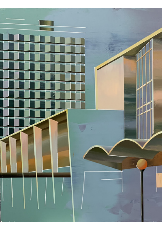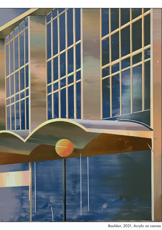

*Basildon*, 2021, Acrylic on canvas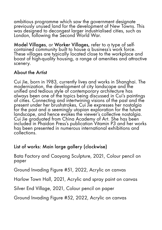ambitious programme which saw the government designate previously unused land for the development of New Towns. This was designed to decongest larger industrialised cities, such as London, following the Second World War.

Model Villages, or Worker Villages, refer to a type of selfcontained community built to house a business's work force. These villages are typically located close to the workplace and boast of high-quality housing, a range of amenities and attractive scenery.

#### About the Artist

Cui Jie, born in 1983, currently lives and works in Shanghai. The modernization, the development of city landscape and the unified and tedious style of contemporary architecture has always been one of the topics being discussed in Cui's paintings of cities. Connecting and intertwining visions of the past and the present under her brushstrokes, Cui Jie expresses her nostalgia for the past and a seemingly utopian exploration for the future landscape, and hence evokes the viewer's collective nostalgia. Cui Jie graduated from China Academy of Art. She has been included in Phaidon Press's publication Vitamin P3 and her works has been presented in numerous international exhibitions and collections.

#### List of works: Main large gallery (clockwise)

Bata Factory and Caoyang Sculpture, 2021, Colour pencil on paper

Ground Invading Figure #51, 2022, Acrylic on canvas

Harlow Town Hall, 2021, Acrylic and spray paint on canvas

Silver End Village, 2021, Colour pencil on paper

Ground Invading Figure #52, 2022, Acrylic on canvas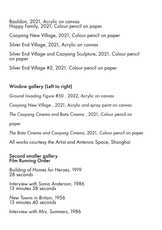Basildon, 2021, Acrylic on canvas Happy Family, 2021, Colour pencil on paper

Caoyang New Village, 2021, Colour pencil on paper

Silver End Village, 2021, Acrylic on canvas

Silver End Village and Caoyang Sculpture, 2021, Colour pencil on paper

Silver End Village #2, 2021, Colour pencil on paper

### Window gallery (Left to right)

*Ground Invading Figure* #50 , 2022, Acrylic on canvas

*Caoyang New Village* , 2021, Acrylic and spray paint on canvas

*The Caoyang Cinema and Bata Cinema* , 2021, Colour pencil on

paper

*The Bata Cinema and Caoyang Cinema*, 2021, Colour pencil on paper

All works courtesy the Artist and Antenna Space, Shanghai

#### Second smaller gallery Film Running Order

*Building of Homes for Heroes*, 1919 28 seconds

*Interview with Sonia Anderson*, 1986 13 minutes 58 seconds

*New Towns in Britain*, 1956 13 minutes 40 seconds

*Interview with Mrs. Summers*, 1986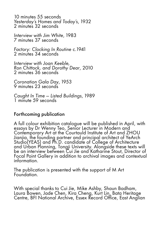10 minutes 55 seconds *Yesterday's Homes and Today's*, 1932 2 minutes 32 seconds

*Interview with Jim White*, 1983 7 minutes 37 seconds

*Factory: Clocking In Routine* c.1941 2 minutes 34 seconds

*Interview with Joan Keeble, Ron Chittock, and Dorothy Dear*, 2010 2 minutes 36 seconds

*Coronation Gala Day*, 1953 9 minutes 23 seconds

*Caught In Time — Listed Buildings*, 1989 1 minute 59 seconds

#### Forthcoming publication

A full colour exhibition catalogue will be published in April, with essays by Dr Wenny Teo, Senior Lecturer in Modern and Contemporary Art at the Courtauld Institute of Art and ZHOU Jianjia, the founding partner and principal architect of YeArch Studio(YEAS) and Ph.D. candidate of College of Architecture and Urban Planning, Tongji University. Alongside these texts will be an interview between Cui Jie and Katharine Stout, Director of Focal Point Gallery in addition to archival images and contextual information.

The publication is presented with the support of M Art Foundation.

With special thanks to Cui Jie, Mike Ashby, Shaun Badham, Laura Bowen, Jade Chen, Kira Cheng, Kurt Lin, Bata Heritage Centre, BFI National Archive, Essex Record Office, East Anglian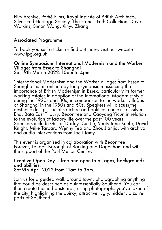Film Archive, Pathé Films, Royal Institute of British Architects, Silver End Heritage Society, The Francis Frith Collection, Dave Watkins, Simon Wang, Xinyu Zhang.

#### Associated Programme

To book yourself a ticket or find out more, visit our website www.fpg.org.uk

#### Online Symposium: International Modernism and the Worker Village: from Essex to Shanghai Sat 19th March 2022: 10am to 4pm

'International Modernism and the Worker Village: from Essex to Shanghai' is an online day long symposium assessing the importance of British Modernism in Essex, particularly its former working estates in adoption of the International Modernist style during the 1920s and 30s, in comparison to the worker villages of Shanghai in the 1950s and 60s. Speakers will discuss the aesthetic design, social structure and political contexts of Silver End, Bata East Tilbury, Becontree and Caoyang Yicun in relation to the evolution of factory life over the past 100 years. Speakers include Gillian Darley, Cui Jie, Verity-Jane Keefe, David Knight, Mike Tarbard,Wenny Teo and Zhou Jianjia, with archival and audio interventions from Joe Namy.

This event is organised in collaboration with Becontree Forever, London Borough of Barking and Dagenham and with the support of the Paul Mellon Centre.

#### Creative Open Day – free and open to all ages, backgrounds and abilities! Sat 9th April 2022 from 11am to 3pm.

Join us for a guided walk around town, photographing anything that could be described as quintessentially Southend. You can then create themed postcards, using photographs you've taken of the city, highlighting the quirky, attractive, ugly, hidden, bizarre parts of Southend!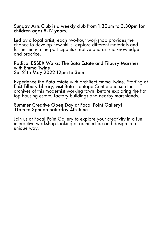#### Sunday Arts Club is a weekly club from 1.30pm to 3.30pm for children ages 8-12 years.

Led by a local artist, each two-hour workshop provides the chance to develop new skills, explore different materials and further enrich the participants creative and artistic knowledge and practice.

#### Radical ESSEX Walks: The Bata Estate and Tilbury Marshes with Emma Twine Sat 21th May 2022 12pm to 3pm

Experience the Bata Estate with architect Emma Twine. Starting at East Tilbury Library, visit Bata Heritage Centre and see the archives of this modernist working town, before exploring the flat top housing estate, factory buildings and nearby marshlands.

#### Summer Creative Open Day at Focal Point Gallery! 11am to 3pm on Saturday 4th June

Join us at Focal Point Gallery to explore your creativity in a fun, interactive workshop looking at architecture and design in a unique way.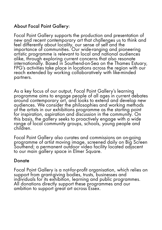#### About Focal Point Gallery:

Focal Point Gallery supports the production and presentation of new and recent contemporary art that challenges us to think and feel differently about locality, our sense of self and the importance of communities. Our wide-ranging and pioneering artistic programme is relevant to local and national audiences alike, through exploring current concerns that also resonate internationally. Based in Southend-on-Sea on the Thames Estuary, FPG's activities take place in locations across the region with our reach extended by working collaboratively with like-minded partners.

As a key focus of our output, Focal Point Gallery's learning programme aims to engage people of all ages in current debates around contemporary art, and looks to extend and develop new audiences. We consider the philosophies and working methods of the artists in our exhibitions programme as the starting point for inspiration, aspiration and discussion in the community. On this basis, the gallery seeks to proactively engage with a wide range of local community groups, schools, young people and children.

Focal Point Gallery also curates and commissions an on-going programme of artist moving image, screened daily on Big Screen Southend; a permanent outdoor video facility located adjacent to our main gallery space in Elmer Square.

#### Donate

Focal Point Gallery is a not-for-profit organisation, which relies on support from grant-giving bodies, trusts, businesses and individuals for its exhibition, learning and public programmes. All donations directly support these programmes and our ambition to support great art across Essex.